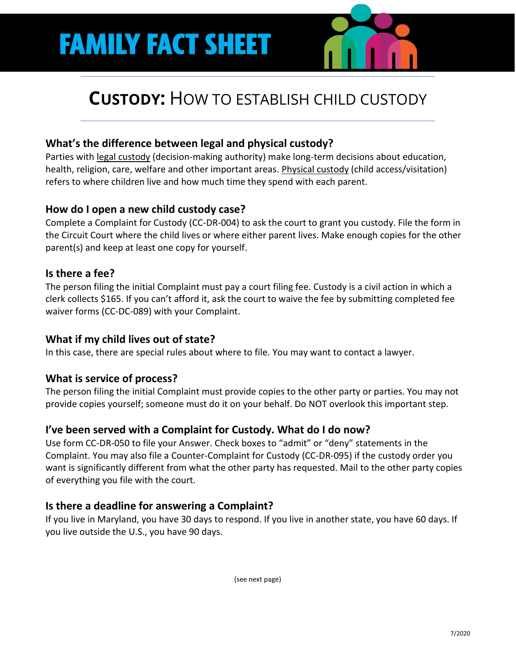# **FAMILY FACT SHEET**

# **CUSTODY:** HOW TO ESTABLISH CHILD CUSTODY

# **What's the difference between legal and physical custody?**

Parties with legal custody (decision-making authority) make long-term decisions about education, health, religion, care, welfare and other important areas. Physical custody (child access/visitation) refers to where children live and how much time they spend with each parent.

## **How do I open a new child custody case?**

Complete a Complaint for Custody (CC-DR-004) to ask the court to grant you custody. File the form in the Circuit Court where the child lives or where either parent lives. Make enough copies for the other parent(s) and keep at least one copy for yourself.

## **Is there a fee?**

The person filing the initial Complaint must pay a court filing fee. Custody is a civil action in which a clerk collects \$165. If you can't afford it, ask the court to waive the fee by submitting completed fee waiver forms (CC-DC-089) with your Complaint.

#### **What if my child lives out of state?**

In this case, there are special rules about where to file. You may want to contact a lawyer.

#### **What is service of process?**

The person filing the initial Complaint must provide copies to the other party or parties. You may not provide copies yourself; someone must do it on your behalf. Do NOT overlook this important step.

# **I've been served with a Complaint for Custody. What do I do now?**

Use form CC-DR-050 to file your Answer. Check boxes to "admit" or "deny" statements in the Complaint. You may also file a Counter-Complaint for Custody (CC-DR-095) if the custody order you want is significantly different from what the other party has requested. Mail to the other party copies of everything you file with the court.

# **Is there a deadline for answering a Complaint?**

If you live in Maryland, you have 30 days to respond. If you live in another state, you have 60 days. If you live outside the U.S., you have 90 days.

(see next page)